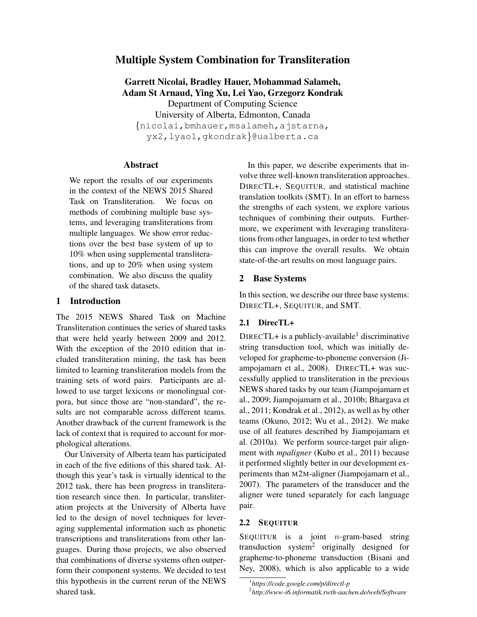# Multiple System Combination for Transliteration

Garrett Nicolai, Bradley Hauer, Mohammad Salameh, Adam St Arnaud, Ying Xu, Lei Yao, Grzegorz Kondrak Department of Computing Science University of Alberta, Edmonton, Canada {nicolai,bmhauer,msalameh,ajstarna, yx2,lyao1,gkondrak}@ualberta.ca

## Abstract

We report the results of our experiments in the context of the NEWS 2015 Shared Task on Transliteration. We focus on methods of combining multiple base systems, and leveraging transliterations from multiple languages. We show error reductions over the best base system of up to 10% when using supplemental transliterations, and up to 20% when using system combination. We also discuss the quality of the shared task datasets.

## 1 Introduction

The 2015 NEWS Shared Task on Machine Transliteration continues the series of shared tasks that were held yearly between 2009 and 2012. With the exception of the 2010 edition that included transliteration mining, the task has been limited to learning transliteration models from the training sets of word pairs. Participants are allowed to use target lexicons or monolingual corpora, but since those are "non-standard", the results are not comparable across different teams. Another drawback of the current framework is the lack of context that is required to account for morphological alterations.

Our University of Alberta team has participated in each of the five editions of this shared task. Although this year's task is virtually identical to the 2012 task, there has been progress in transliteration research since then. In particular, transliteration projects at the University of Alberta have led to the design of novel techniques for leveraging supplemental information such as phonetic transcriptions and transliterations from other languages. During those projects, we also observed that combinations of diverse systems often outperform their component systems. We decided to test this hypothesis in the current rerun of the NEWS shared task.

In this paper, we describe experiments that involve three well-known transliteration approaches. DIRECTL+, SEQUITUR, and statistical machine translation toolkits (SMT). In an effort to harness the strengths of each system, we explore various techniques of combining their outputs. Furthermore, we experiment with leveraging transliterations from other languages, in order to test whether this can improve the overall results. We obtain state-of-the-art results on most language pairs.

## 2 Base Systems

In this section, we describe our three base systems: DIRECTL+, SEQUITUR, and SMT.

#### 2.1 DirecTL+

DIRECTL+ is a publicly-available<sup>1</sup> discriminative string transduction tool, which was initially developed for grapheme-to-phoneme conversion (Jiampojamarn et al., 2008). DIRECTL+ was successfully applied to transliteration in the previous NEWS shared tasks by our team (Jiampojamarn et al., 2009; Jiampojamarn et al., 2010b; Bhargava et al., 2011; Kondrak et al., 2012), as well as by other teams (Okuno, 2012; Wu et al., 2012). We make use of all features described by Jiampojamarn et al. (2010a). We perform source-target pair alignment with *mpaligner* (Kubo et al., 2011) because it performed slightly better in our development experiments than M2M-aligner (Jiampojamarn et al., 2007). The parameters of the transducer and the aligner were tuned separately for each language pair.

# 2.2 SEQUITUR

SEQUITUR is a joint *n*-gram-based string transduction system<sup>2</sup> originally designed for grapheme-to-phoneme transduction (Bisani and Ney, 2008), which is also applicable to a wide

<sup>1</sup> *https://code.google.com/p/directl-p* 2 *http://www-i6.informatik.rwth-aachen.de/web/Software*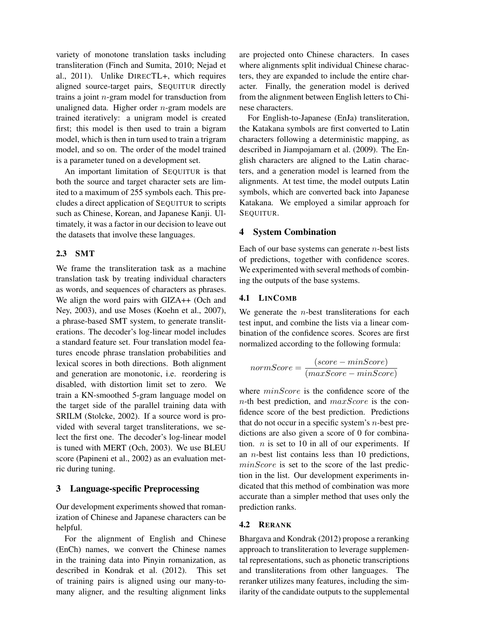variety of monotone translation tasks including transliteration (Finch and Sumita, 2010; Nejad et al., 2011). Unlike DIRECTL+, which requires aligned source-target pairs, SEQUITUR directly trains a joint  $n$ -gram model for transduction from unaligned data. Higher order  $n$ -gram models are trained iteratively: a unigram model is created first; this model is then used to train a bigram model, which is then in turn used to train a trigram model, and so on. The order of the model trained is a parameter tuned on a development set.

An important limitation of SEQUITUR is that both the source and target character sets are limited to a maximum of 255 symbols each. This precludes a direct application of SEQUITUR to scripts such as Chinese, Korean, and Japanese Kanji. Ultimately, it was a factor in our decision to leave out the datasets that involve these languages.

# 2.3 SMT

We frame the transliteration task as a machine translation task by treating individual characters as words, and sequences of characters as phrases. We align the word pairs with GIZA++ (Och and Ney, 2003), and use Moses (Koehn et al., 2007), a phrase-based SMT system, to generate transliterations. The decoder's log-linear model includes a standard feature set. Four translation model features encode phrase translation probabilities and lexical scores in both directions. Both alignment and generation are monotonic, i.e. reordering is disabled, with distortion limit set to zero. We train a KN-smoothed 5-gram language model on the target side of the parallel training data with SRILM (Stolcke, 2002). If a source word is provided with several target transliterations, we select the first one. The decoder's log-linear model is tuned with MERT (Och, 2003). We use BLEU score (Papineni et al., 2002) as an evaluation metric during tuning.

## 3 Language-specific Preprocessing

Our development experiments showed that romanization of Chinese and Japanese characters can be helpful.

For the alignment of English and Chinese (EnCh) names, we convert the Chinese names in the training data into Pinyin romanization, as described in Kondrak et al. (2012). This set of training pairs is aligned using our many-tomany aligner, and the resulting alignment links are projected onto Chinese characters. In cases where alignments split individual Chinese characters, they are expanded to include the entire character. Finally, the generation model is derived from the alignment between English letters to Chinese characters.

For English-to-Japanese (EnJa) transliteration, the Katakana symbols are first converted to Latin characters following a deterministic mapping, as described in Jiampojamarn et al. (2009). The English characters are aligned to the Latin characters, and a generation model is learned from the alignments. At test time, the model outputs Latin symbols, which are converted back into Japanese Katakana. We employed a similar approach for SEQUITUR.

## 4 System Combination

Each of our base systems can generate  $n$ -best lists of predictions, together with confidence scores. We experimented with several methods of combining the outputs of the base systems.

#### 4.1 LINCOMB

We generate the  $n$ -best transliterations for each test input, and combine the lists via a linear combination of the confidence scores. Scores are first normalized according to the following formula:

$$
normScore = \frac{(score - minScore)}{(maxScore - minScore)}
$$

where  $minScore$  is the confidence score of the  $n$ -th best prediction, and  $maxScore$  is the confidence score of the best prediction. Predictions that do not occur in a specific system's  $n$ -best predictions are also given a score of 0 for combination.  $n$  is set to 10 in all of our experiments. If an  $n$ -best list contains less than 10 predictions,  $minScore$  is set to the score of the last prediction in the list. Our development experiments indicated that this method of combination was more accurate than a simpler method that uses only the prediction ranks.

#### 4.2 RERANK

Bhargava and Kondrak (2012) propose a reranking approach to transliteration to leverage supplemental representations, such as phonetic transcriptions and transliterations from other languages. The reranker utilizes many features, including the similarity of the candidate outputs to the supplemental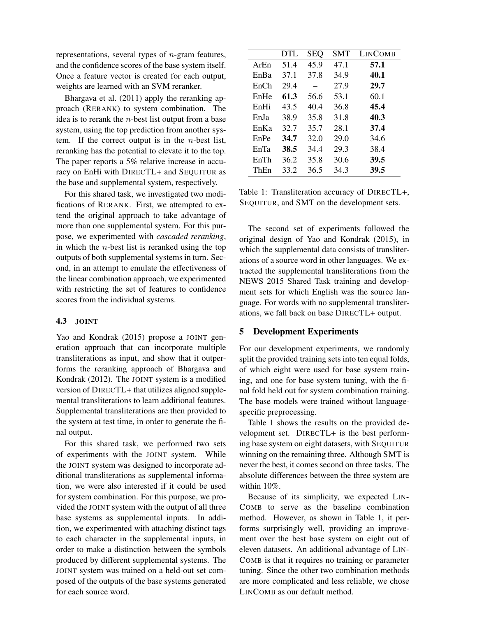representations, several types of  $n$ -gram features, and the confidence scores of the base system itself. Once a feature vector is created for each output, weights are learned with an SVM reranker.

Bhargava et al. (2011) apply the reranking approach (RERANK) to system combination. The idea is to rerank the  $n$ -best list output from a base system, using the top prediction from another system. If the correct output is in the  $n$ -best list, reranking has the potential to elevate it to the top. The paper reports a 5% relative increase in accuracy on EnHi with DIRECTL+ and SEQUITUR as the base and supplemental system, respectively.

For this shared task, we investigated two modifications of RERANK. First, we attempted to extend the original approach to take advantage of more than one supplemental system. For this purpose, we experimented with *cascaded reranking*, in which the  $n$ -best list is reranked using the top outputs of both supplemental systems in turn. Second, in an attempt to emulate the effectiveness of the linear combination approach, we experimented with restricting the set of features to confidence scores from the individual systems.

#### 4.3 JOINT

Yao and Kondrak (2015) propose a JOINT generation approach that can incorporate multiple transliterations as input, and show that it outperforms the reranking approach of Bhargava and Kondrak (2012). The JOINT system is a modified version of DIRECTL+ that utilizes aligned supplemental transliterations to learn additional features. Supplemental transliterations are then provided to the system at test time, in order to generate the final output.

For this shared task, we performed two sets of experiments with the JOINT system. While the JOINT system was designed to incorporate additional transliterations as supplemental information, we were also interested if it could be used for system combination. For this purpose, we provided the JOINT system with the output of all three base systems as supplemental inputs. In addition, we experimented with attaching distinct tags to each character in the supplemental inputs, in order to make a distinction between the symbols produced by different supplemental systems. The JOINT system was trained on a held-out set composed of the outputs of the base systems generated for each source word.

|      | DTL  | <b>SEQ</b> | <b>SMT</b> | <b>LINCOMB</b> |
|------|------|------------|------------|----------------|
| ArEn | 51.4 | 45.9       | 47.1       | 57.1           |
| EnBa | 37.1 | 37.8       | 34.9       | 40.1           |
| EnCh | 29.4 |            | 27.9       | 29.7           |
| EnHe | 61.3 | 56.6       | 53.1       | 60.1           |
| EnHi | 43.5 | 40.4       | 36.8       | 45.4           |
| EnJa | 38.9 | 35.8       | 31.8       | 40.3           |
| EnKa | 32.7 | 35.7       | 28.1       | 37.4           |
| EnPe | 34.7 | 32.0       | 29.0       | 34.6           |
| EnTa | 38.5 | 34.4       | 29.3       | 38.4           |
| EnTh | 36.2 | 35.8       | 30.6       | 39.5           |
| ThEn | 33.2 | 36.5       | 34.3       | 39.5           |

Table 1: Transliteration accuracy of DIRECTL+, SEQUITUR, and SMT on the development sets.

The second set of experiments followed the original design of Yao and Kondrak (2015), in which the supplemental data consists of transliterations of a source word in other languages. We extracted the supplemental transliterations from the NEWS 2015 Shared Task training and development sets for which English was the source language. For words with no supplemental transliterations, we fall back on base DIRECTL+ output.

#### 5 Development Experiments

For our development experiments, we randomly split the provided training sets into ten equal folds, of which eight were used for base system training, and one for base system tuning, with the final fold held out for system combination training. The base models were trained without languagespecific preprocessing.

Table 1 shows the results on the provided development set. DIRECTL+ is the best performing base system on eight datasets, with SEQUITUR winning on the remaining three. Although SMT is never the best, it comes second on three tasks. The absolute differences between the three system are within 10%.

Because of its simplicity, we expected LIN-COMB to serve as the baseline combination method. However, as shown in Table 1, it performs surprisingly well, providing an improvement over the best base system on eight out of eleven datasets. An additional advantage of LIN-COMB is that it requires no training or parameter tuning. Since the other two combination methods are more complicated and less reliable, we chose LINCOMB as our default method.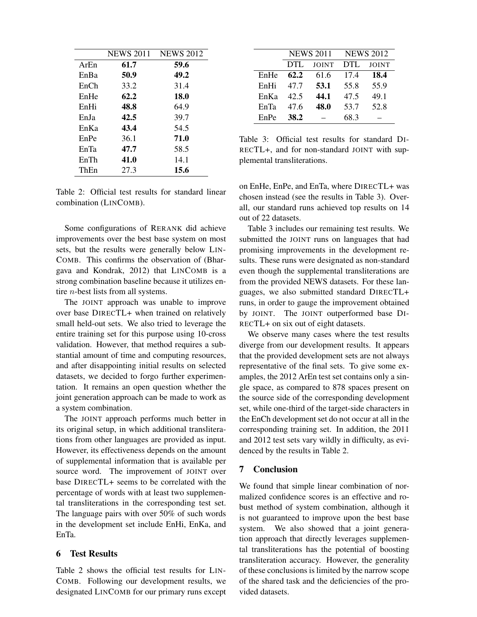|      | <b>NEWS 2011</b> | <b>NEWS 2012</b> |
|------|------------------|------------------|
| ArEn | 61.7             | 59.6             |
| EnBa | 50.9             | 49.2             |
| EnCh | 33.2             | 31.4             |
| EnHe | 62.2             | 18.0             |
| EnHi | 48.8             | 64.9             |
| EnJa | 42.5             | 39.7             |
| EnKa | 43.4             | 54.5             |
| EnPe | 36.1             | 71.0             |
| EnTa | 47.7             | 58.5             |
| EnTh | 41.0             | 14.1             |
| ThEn | 27.3             | 15.6             |

Table 2: Official test results for standard linear combination (LINCOMB).

Some configurations of RERANK did achieve improvements over the best base system on most sets, but the results were generally below LIN-COMB. This confirms the observation of (Bhargava and Kondrak, 2012) that LINCOMB is a strong combination baseline because it utilizes entire n-best lists from all systems.

The JOINT approach was unable to improve over base DIRECTL+ when trained on relatively small held-out sets. We also tried to leverage the entire training set for this purpose using 10-cross validation. However, that method requires a substantial amount of time and computing resources, and after disappointing initial results on selected datasets, we decided to forgo further experimentation. It remains an open question whether the joint generation approach can be made to work as a system combination.

The JOINT approach performs much better in its original setup, in which additional transliterations from other languages are provided as input. However, its effectiveness depends on the amount of supplemental information that is available per source word. The improvement of JOINT over base DIRECTL+ seems to be correlated with the percentage of words with at least two supplemental transliterations in the corresponding test set. The language pairs with over 50% of such words in the development set include EnHi, EnKa, and EnTa.

## 6 Test Results

Table 2 shows the official test results for LIN-COMB. Following our development results, we designated LINCOMB for our primary runs except

|      | <b>NEWS 2011</b> |              | <b>NEWS 2012</b> |              |  |
|------|------------------|--------------|------------------|--------------|--|
|      | <b>DTL</b>       | <b>JOINT</b> | <b>DTL</b>       | <b>JOINT</b> |  |
| EnHe | 62.2             | 61.6         | 17.4             | 18.4         |  |
| EnHi | 47.7             | 53.1         | 55.8             | 55.9         |  |
| EnKa | 42.5             | 44.1         | 47.5             | 49.1         |  |
| EnTa | 47.6             | 48.0         | 53.7             | 52.8         |  |
| EnPe | 38.2             |              | 68.3             |              |  |

Table 3: Official test results for standard DI-RECTL+, and for non-standard JOINT with supplemental transliterations.

on EnHe, EnPe, and EnTa, where DIRECTL+ was chosen instead (see the results in Table 3). Overall, our standard runs achieved top results on 14 out of 22 datasets.

Table 3 includes our remaining test results. We submitted the JOINT runs on languages that had promising improvements in the development results. These runs were designated as non-standard even though the supplemental transliterations are from the provided NEWS datasets. For these languages, we also submitted standard DIRECTL+ runs, in order to gauge the improvement obtained by JOINT. The JOINT outperformed base DI-RECTL+ on six out of eight datasets.

We observe many cases where the test results diverge from our development results. It appears that the provided development sets are not always representative of the final sets. To give some examples, the 2012 ArEn test set contains only a single space, as compared to 878 spaces present on the source side of the corresponding development set, while one-third of the target-side characters in the EnCh development set do not occur at all in the corresponding training set. In addition, the 2011 and 2012 test sets vary wildly in difficulty, as evidenced by the results in Table 2.

## 7 Conclusion

We found that simple linear combination of normalized confidence scores is an effective and robust method of system combination, although it is not guaranteed to improve upon the best base system. We also showed that a joint generation approach that directly leverages supplemental transliterations has the potential of boosting transliteration accuracy. However, the generality of these conclusions is limited by the narrow scope of the shared task and the deficiencies of the provided datasets.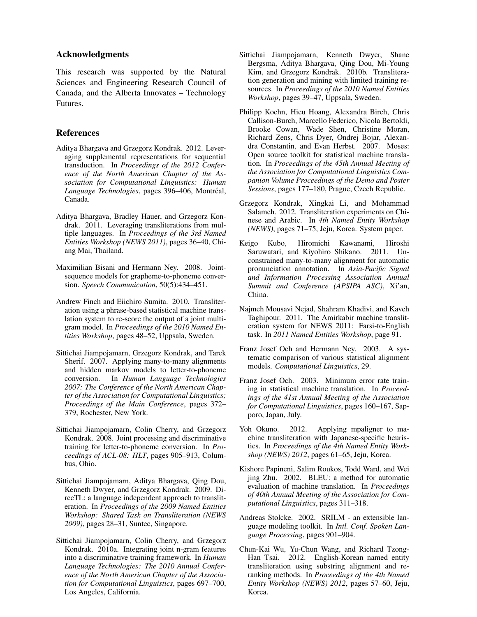### Acknowledgments

This research was supported by the Natural Sciences and Engineering Research Council of Canada, and the Alberta Innovates – Technology Futures.

### References

- Aditya Bhargava and Grzegorz Kondrak. 2012. Leveraging supplemental representations for sequential transduction. In *Proceedings of the 2012 Conference of the North American Chapter of the Association for Computational Linguistics: Human* Language Technologies, pages 396–406, Montréal, Canada.
- Aditya Bhargava, Bradley Hauer, and Grzegorz Kondrak. 2011. Leveraging transliterations from multiple languages. In *Proceedings of the 3rd Named Entities Workshop (NEWS 2011)*, pages 36–40, Chiang Mai, Thailand.
- Maximilian Bisani and Hermann Ney. 2008. Jointsequence models for grapheme-to-phoneme conversion. *Speech Communication*, 50(5):434–451.
- Andrew Finch and Eiichiro Sumita. 2010. Transliteration using a phrase-based statistical machine translation system to re-score the output of a joint multigram model. In *Proceedings of the 2010 Named Entities Workshop*, pages 48–52, Uppsala, Sweden.
- Sittichai Jiampojamarn, Grzegorz Kondrak, and Tarek Sherif. 2007. Applying many-to-many alignments and hidden markov models to letter-to-phoneme conversion. In *Human Language Technologies 2007: The Conference of the North American Chapter of the Association for Computational Linguistics; Proceedings of the Main Conference*, pages 372– 379, Rochester, New York.
- Sittichai Jiampojamarn, Colin Cherry, and Grzegorz Kondrak. 2008. Joint processing and discriminative training for letter-to-phoneme conversion. In *Proceedings of ACL-08: HLT*, pages 905–913, Columbus, Ohio.
- Sittichai Jiampojamarn, Aditya Bhargava, Qing Dou, Kenneth Dwyer, and Grzegorz Kondrak. 2009. DirecTL: a language independent approach to transliteration. In *Proceedings of the 2009 Named Entities Workshop: Shared Task on Transliteration (NEWS 2009)*, pages 28–31, Suntec, Singapore.
- Sittichai Jiampojamarn, Colin Cherry, and Grzegorz Kondrak. 2010a. Integrating joint n-gram features into a discriminative training framework. In *Human Language Technologies: The 2010 Annual Conference of the North American Chapter of the Association for Computational Linguistics*, pages 697–700, Los Angeles, California.
- Sittichai Jiampojamarn, Kenneth Dwyer, Shane Bergsma, Aditya Bhargava, Qing Dou, Mi-Young Kim, and Grzegorz Kondrak. 2010b. Transliteration generation and mining with limited training resources. In *Proceedings of the 2010 Named Entities Workshop*, pages 39–47, Uppsala, Sweden.
- Philipp Koehn, Hieu Hoang, Alexandra Birch, Chris Callison-Burch, Marcello Federico, Nicola Bertoldi, Brooke Cowan, Wade Shen, Christine Moran, Richard Zens, Chris Dyer, Ondrej Bojar, Alexandra Constantin, and Evan Herbst. 2007. Moses: Open source toolkit for statistical machine translation. In *Proceedings of the 45th Annual Meeting of the Association for Computational Linguistics Companion Volume Proceedings of the Demo and Poster Sessions*, pages 177–180, Prague, Czech Republic.
- Grzegorz Kondrak, Xingkai Li, and Mohammad Salameh. 2012. Transliteration experiments on Chinese and Arabic. In *4th Named Entity Workshop (NEWS)*, pages 71–75, Jeju, Korea. System paper.
- Keigo Kubo, Hiromichi Kawanami, Hiroshi Saruwatari, and Kiyohiro Shikano. 2011. Unconstrained many-to-many alignment for automatic pronunciation annotation. In *Asia-Pacific Signal and Information Processing Association Annual Summit and Conference (APSIPA ASC)*, Xi'an, China.
- Najmeh Mousavi Nejad, Shahram Khadivi, and Kaveh Taghipour. 2011. The Amirkabir machine transliteration system for NEWS 2011: Farsi-to-English task. In *2011 Named Entities Workshop*, page 91.
- Franz Josef Och and Hermann Ney. 2003. A systematic comparison of various statistical alignment models. *Computational Linguistics*, 29.
- Franz Josef Och. 2003. Minimum error rate training in statistical machine translation. In *Proceedings of the 41st Annual Meeting of the Association for Computational Linguistics*, pages 160–167, Sapporo, Japan, July.
- Yoh Okuno. 2012. Applying mpaligner to machine transliteration with Japanese-specific heuristics. In *Proceedings of the 4th Named Entity Workshop (NEWS) 2012*, pages 61–65, Jeju, Korea.
- Kishore Papineni, Salim Roukos, Todd Ward, and Wei jing Zhu. 2002. BLEU: a method for automatic evaluation of machine translation. In *Proceedings of 40th Annual Meeting of the Association for Computational Linguistics*, pages 311–318.
- Andreas Stolcke. 2002. SRILM an extensible language modeling toolkit. In *Intl. Conf. Spoken Language Processing*, pages 901–904.
- Chun-Kai Wu, Yu-Chun Wang, and Richard Tzong-Han Tsai. 2012. English-Korean named entity transliteration using substring alignment and reranking methods. In *Proceedings of the 4th Named Entity Workshop (NEWS) 2012*, pages 57–60, Jeju, Korea.